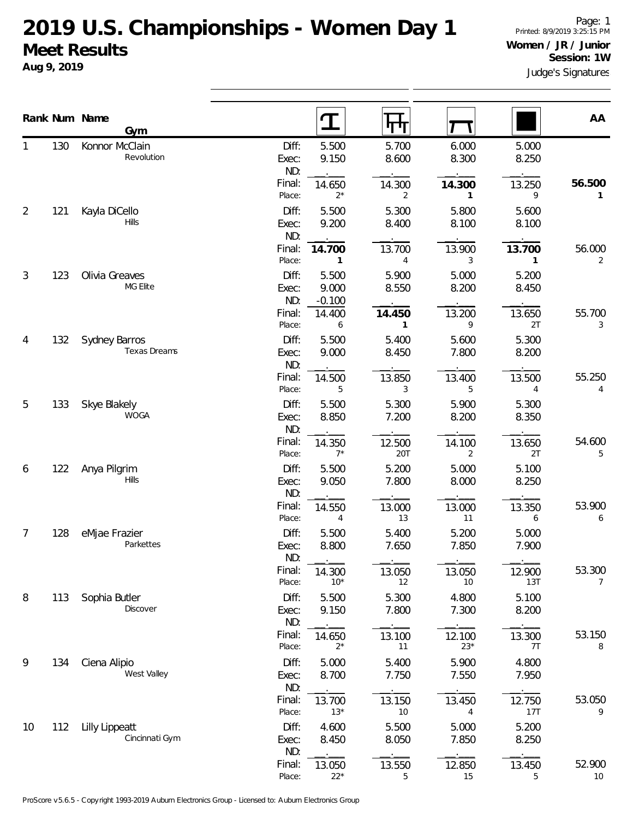## **2019 U.S. Championships - Women Day 1 Meet Results**

**Aug 9, 2019**

|                | Rank Num Name | Gym                                     |                       | T                          | गण                     |                 |                | AA                       |
|----------------|---------------|-----------------------------------------|-----------------------|----------------------------|------------------------|-----------------|----------------|--------------------------|
|                | 130           | Konnor McClain<br>Revolution            | Diff:<br>Exec:<br>ND: | 5.500<br>9.150             | 5.700<br>8.600         | 6.000<br>8.300  | 5.000<br>8.250 |                          |
|                |               |                                         | Final:<br>Place:      | 14.650<br>$2*$             | 14.300<br>2            | 14.300<br>1     | 13.250<br>9    | 56.500<br>1              |
| $\overline{2}$ | 121           | Kayla DiCello<br><b>Hills</b>           | Diff:<br>Exec:<br>ND: | 5.500<br>9.200             | 5.300<br>8.400         | 5.800<br>8.100  | 5.600<br>8.100 |                          |
|                |               |                                         | Final:<br>Place:      | 14.700<br>1                | 13.700<br>4            | 13.900<br>3     | 13.700<br>1    | 56.000<br>2              |
| 3              | 123           | Olivia Greaves<br>MG Elite              | Diff:<br>Exec:<br>ND: | 5.500<br>9.000<br>$-0.100$ | 5.900<br>8.550         | 5.000<br>8.200  | 5.200<br>8.450 |                          |
|                |               |                                         | Final:<br>Place:      | 14.400<br>6                | 14.450<br>$\mathbf{1}$ | 13.200<br>9     | 13.650<br>2T   | 55.700<br>3              |
| 4              | 132           | Sydney Barros<br><b>Texas Dreams</b>    | Diff:<br>Exec:<br>ND: | 5.500<br>9.000             | 5.400<br>8.450         | 5.600<br>7.800  | 5.300<br>8.200 |                          |
|                |               |                                         | Final:<br>Place:      | 14.500<br>5                | 13.850<br>3            | 13.400<br>5     | 13.500<br>4    | 55.250<br>4              |
| 5              | 133           | Skye Blakely<br><b>WOGA</b>             | Diff:<br>Exec:<br>ND: | 5.500<br>8.850             | 5.300<br>7.200         | 5.900<br>8.200  | 5.300<br>8.350 |                          |
|                |               |                                         | Final:<br>Place:      | 14.350<br>$7^*$            | 12.500<br>20T          | 14.100<br>2     | 13.650<br>2T   | 54.600<br>5              |
| 6              | 122           | Anya Pilgrim<br><b>Hills</b>            | Diff:<br>Exec:<br>ND: | 5.500<br>9.050             | 5.200<br>7.800         | 5.000<br>8.000  | 5.100<br>8.250 |                          |
|                |               |                                         | Final:<br>Place:      | 14.550<br>4                | 13.000<br>13           | 13.000<br>11    | 13.350<br>6    | 53.900<br>6              |
| 7              | 128           | eMjae Frazier<br>Parkettes              | Diff:<br>Exec:<br>ND: | 5.500<br>8.800             | 5.400<br>7.650         | 5.200<br>7.850  | 5.000<br>7.900 |                          |
|                |               |                                         | Final:<br>Place:      | 14.300<br>$10*$            | 13.050<br>12           | 13.050<br>10    | 12.900<br>13T  | 53.300<br>$\overline{7}$ |
| 8              | 113           | Sophia Butler<br>Discover               | Diff:<br>Exec:<br>ND: | 5.500<br>9.150             | 5.300<br>7.800         | 4.800<br>7.300  | 5.100<br>8.200 |                          |
|                |               |                                         | Final:<br>Place:      | 14.650<br>$2*$             | 13.100<br>11           | 12.100<br>$23*$ | 13.300<br>7T   | 53.150<br>8              |
| 9              | 134           | Ciena Alipio<br>West Valley             | Diff:<br>Exec:<br>ND: | 5.000<br>8.700             | 5.400<br>7.750         | 5.900<br>7.550  | 4.800<br>7.950 |                          |
|                |               |                                         | Final:<br>Place:      | 13.700<br>$13*$            | 13.150<br>10           | 13.450<br>4     | 12.750<br>17T  | 53.050<br>9              |
| 10             | 112           | <b>Lilly Lippeatt</b><br>Cincinnati Gym | Diff:<br>Exec:<br>ND: | 4.600<br>8.450             | 5.500<br>8.050         | 5.000<br>7.850  | 5.200<br>8.250 |                          |
|                |               |                                         | Final:<br>Place:      | 13.050<br>$22*$            | 13.550<br>5            | 12.850<br>15    | 13.450<br>5    | 52.900<br>10             |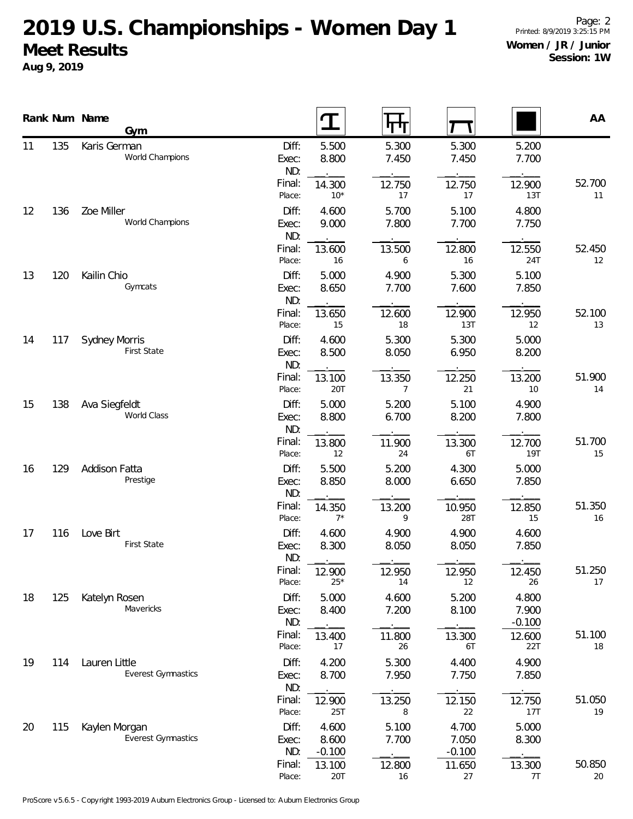## **2019 U.S. Championships - Women Day 1 Meet Results**

**Aug 9, 2019**

|    |     | Rank Num Name<br>Gym                       |                       |                            | पाप                      |                            |                            | AA           |
|----|-----|--------------------------------------------|-----------------------|----------------------------|--------------------------|----------------------------|----------------------------|--------------|
| 11 | 135 | Karis German<br>World Champions            | Diff:<br>Exec:<br>ND: | 5.500<br>8.800             | 5.300<br>7.450           | 5.300<br>7.450             | 5.200<br>7.700             |              |
|    |     |                                            | Final:<br>Place:      | 14.300<br>$10*$            | 12.750<br>17             | 12.750<br>17               | 12.900<br>13T              | 52.700<br>11 |
| 12 | 136 | Zoe Miller<br>World Champions              | Diff:<br>Exec:<br>ND: | 4.600<br>9.000             | 5.700<br>7.800           | 5.100<br>7.700             | 4.800<br>7.750             |              |
|    |     |                                            | Final:<br>Place:      | 13.600<br>16               | 13.500<br>6              | 12.800<br>16               | 12.550<br>24T              | 52.450<br>12 |
| 13 | 120 | Kailin Chio<br>Gymcats                     | Diff:<br>Exec:<br>ND: | 5.000<br>8.650             | 4.900<br>7.700           | 5.300<br>7.600             | 5.100<br>7.850             |              |
|    |     |                                            | Final:<br>Place:      | 13.650<br>15               | 12.600<br>18             | 12.900<br>13T              | 12.950<br>12               | 52.100<br>13 |
| 14 | 117 | <b>Sydney Morris</b><br><b>First State</b> | Diff:<br>Exec:<br>ND: | 4.600<br>8.500             | 5.300<br>8.050           | 5.300<br>6.950             | 5.000<br>8.200             |              |
|    |     |                                            | Final:<br>Place:      | 13.100<br>20T              | 13.350<br>$\overline{7}$ | 12.250<br>21               | 13.200<br>10               | 51.900<br>14 |
| 15 | 138 | Ava Siegfeldt<br>World Class               | Diff:<br>Exec:<br>ND: | 5.000<br>8.800             | 5.200<br>6.700           | 5.100<br>8.200             | 4.900<br>7.800             |              |
|    |     |                                            | Final:<br>Place:      | 13.800<br>12               | 11.900<br>24             | 13.300<br>6T               | 12.700<br>19T              | 51.700<br>15 |
| 16 | 129 | Addison Fatta<br>Prestige                  | Diff:<br>Exec:<br>ND: | 5.500<br>8.850             | 5.200<br>8.000           | 4.300<br>6.650             | 5.000<br>7.850             |              |
|    |     |                                            | Final:<br>Place:      | 14.350<br>$7^*$            | 13.200<br>9              | 10.950<br>28T              | 12.850<br>15               | 51.350<br>16 |
| 17 | 116 | Love Birt<br>First State                   | Diff:<br>Exec:<br>ND: | 4.600<br>8.300             | 4.900<br>8.050           | 4.900<br>8.050             | 4.600<br>7.850             |              |
|    |     |                                            | Final:<br>Place:      | 12.900<br>$25*$            | 12.950<br>14             | 12.950<br>12               | 12.450<br>26               | 51.250<br>17 |
| 18 | 125 | Katelyn Rosen<br>Mavericks                 | Diff:<br>Exec:<br>ND: | 5.000<br>8.400             | 4.600<br>7.200           | 5.200<br>8.100             | 4.800<br>7.900<br>$-0.100$ |              |
|    |     |                                            | Final:<br>Place:      | 13.400<br>17               | 11.800<br>26             | 13.300<br>6T               | 12.600<br>22T              | 51.100<br>18 |
| 19 | 114 | Lauren Little<br><b>Everest Gymnastics</b> | Diff:<br>Exec:<br>ND: | 4.200<br>8.700             | 5.300<br>7.950           | 4.400<br>7.750             | 4.900<br>7.850             |              |
|    |     |                                            | Final:<br>Place:      | 12.900<br>25T              | 13.250<br>8              | 12.150<br>22               | 12.750<br>17T              | 51.050<br>19 |
| 20 | 115 | Kaylen Morgan<br><b>Everest Gymnastics</b> | Diff:<br>Exec:<br>ND: | 4.600<br>8.600<br>$-0.100$ | 5.100<br>7.700           | 4.700<br>7.050<br>$-0.100$ | 5.000<br>8.300             |              |
|    |     |                                            | Final:<br>Place:      | 13.100<br>20T              | 12.800<br>16             | 11.650<br>27               | 13.300<br>7T               | 50.850<br>20 |